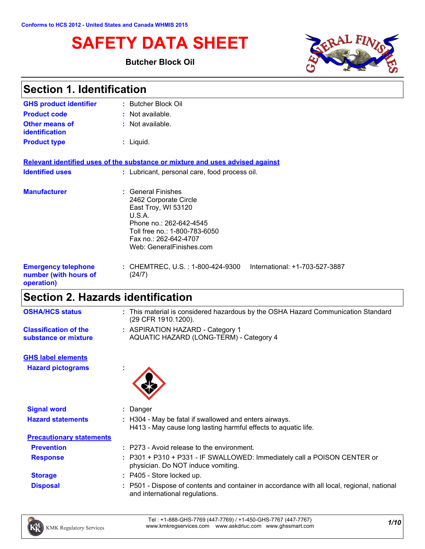# **SAFETY DATA SHEET**

### **Butcher Block Oil**



| <b>Section 1. Identification</b>                                  |                                                                                                                                                                                               |  |
|-------------------------------------------------------------------|-----------------------------------------------------------------------------------------------------------------------------------------------------------------------------------------------|--|
| <b>GHS product identifier</b>                                     | : Butcher Block Oil                                                                                                                                                                           |  |
| <b>Product code</b>                                               | $:$ Not available.                                                                                                                                                                            |  |
| <b>Other means of</b><br><b>identification</b>                    | : Not available.                                                                                                                                                                              |  |
| <b>Product type</b>                                               | $:$ Liquid.                                                                                                                                                                                   |  |
|                                                                   | Relevant identified uses of the substance or mixture and uses advised against                                                                                                                 |  |
| <b>Identified uses</b>                                            | : Lubricant, personal care, food process oil.                                                                                                                                                 |  |
| <b>Manufacturer</b>                                               | : General Finishes<br>2462 Corporate Circle<br>East Troy, WI 53120<br>U.S.A.<br>Phone no.: 262-642-4545<br>Toll free no.: 1-800-783-6050<br>Fax no.: 262-642-4707<br>Web: GeneralFinishes.com |  |
| <b>Emergency telephone</b><br>number (with hours of<br>operation) | International: +1-703-527-3887<br>: CHEMTREC, U.S. : 1-800-424-9300<br>(24/7)                                                                                                                 |  |

# **Section 2. Hazards identification**

| <b>OSHA/HCS status</b>       | : This material is considered hazardous by the OSHA Hazard Communication Standard<br>(29 CFR 1910.1200). |
|------------------------------|----------------------------------------------------------------------------------------------------------|
| <b>Classification of the</b> | : ASPIRATION HAZARD - Category 1                                                                         |
| substance or mixture         | AQUATIC HAZARD (LONG-TERM) - Category 4                                                                  |

**Hazard pictograms : GHS label elements**



| <b>Signal word</b>              | : Danger                                                                                                                      |
|---------------------------------|-------------------------------------------------------------------------------------------------------------------------------|
| <b>Hazard statements</b>        | : H304 - May be fatal if swallowed and enters airways.<br>H413 - May cause long lasting harmful effects to aquatic life.      |
| <b>Precautionary statements</b> |                                                                                                                               |
| <b>Prevention</b>               | $\therefore$ P273 - Avoid release to the environment.                                                                         |
| <b>Response</b>                 | : P301 + P310 + P331 - IF SWALLOWED: Immediately call a POISON CENTER or<br>physician. Do NOT induce vomiting.                |
| <b>Storage</b>                  | $:$ P405 - Store locked up.                                                                                                   |
| <b>Disposal</b>                 | : P501 - Dispose of contents and container in accordance with all local, regional, national<br>and international regulations. |

*1/10* Tel : +1-888-GHS-7769 (447-7769) / +1-450-GHS-7767 (447-7767) www.kmkregservices.com www.askdrluc.com www.ghssmart.com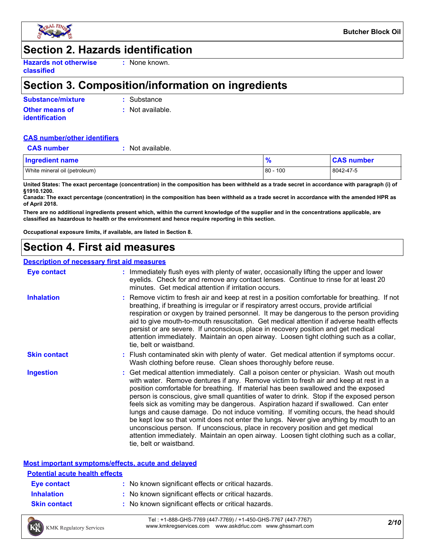

## **Section 2. Hazards identification**

**Hazards not otherwise classified**

**:** None known.

## **Section 3. Composition/information on ingredients**

| <b>Substance/mixture</b> | : Substance     |
|--------------------------|-----------------|
| Other means of           | . Not available |

**Other means of identification**

**:** Not available.

#### **CAS number/other identifiers**

**CAS number :** Not available.

| <b>Ingredient name</b>        |           | <b>CAS number</b> |
|-------------------------------|-----------|-------------------|
| White mineral oil (petroleum) | 100<br>80 | 8042-47-5         |

**United States: The exact percentage (concentration) in the composition has been withheld as a trade secret in accordance with paragraph (i) of §1910.1200.**

**Canada: The exact percentage (concentration) in the composition has been withheld as a trade secret in accordance with the amended HPR as of April 2018.**

**There are no additional ingredients present which, within the current knowledge of the supplier and in the concentrations applicable, are classified as hazardous to health or the environment and hence require reporting in this section.**

**Occupational exposure limits, if available, are listed in Section 8.**

### **Section 4. First aid measures**

#### **Description of necessary first aid measures**

| <b>Eye contact</b>  | : Immediately flush eyes with plenty of water, occasionally lifting the upper and lower<br>eyelids. Check for and remove any contact lenses. Continue to rinse for at least 20<br>minutes. Get medical attention if irritation occurs.                                                                                                                                                                                                                                                                                                                                                                                                                                                                                                                                                                                                          |
|---------------------|-------------------------------------------------------------------------------------------------------------------------------------------------------------------------------------------------------------------------------------------------------------------------------------------------------------------------------------------------------------------------------------------------------------------------------------------------------------------------------------------------------------------------------------------------------------------------------------------------------------------------------------------------------------------------------------------------------------------------------------------------------------------------------------------------------------------------------------------------|
| <b>Inhalation</b>   | : Remove victim to fresh air and keep at rest in a position comfortable for breathing. If not<br>breathing, if breathing is irregular or if respiratory arrest occurs, provide artificial<br>respiration or oxygen by trained personnel. It may be dangerous to the person providing<br>aid to give mouth-to-mouth resuscitation. Get medical attention if adverse health effects<br>persist or are severe. If unconscious, place in recovery position and get medical<br>attention immediately. Maintain an open airway. Loosen tight clothing such as a collar,<br>tie, belt or waistband.                                                                                                                                                                                                                                                    |
| <b>Skin contact</b> | : Flush contaminated skin with plenty of water. Get medical attention if symptoms occur.<br>Wash clothing before reuse. Clean shoes thoroughly before reuse.                                                                                                                                                                                                                                                                                                                                                                                                                                                                                                                                                                                                                                                                                    |
| <b>Ingestion</b>    | : Get medical attention immediately. Call a poison center or physician. Wash out mouth<br>with water. Remove dentures if any. Remove victim to fresh air and keep at rest in a<br>position comfortable for breathing. If material has been swallowed and the exposed<br>person is conscious, give small quantities of water to drink. Stop if the exposed person<br>feels sick as vomiting may be dangerous. Aspiration hazard if swallowed. Can enter<br>lungs and cause damage. Do not induce vomiting. If vomiting occurs, the head should<br>be kept low so that vomit does not enter the lungs. Never give anything by mouth to an<br>unconscious person. If unconscious, place in recovery position and get medical<br>attention immediately. Maintain an open airway. Loosen tight clothing such as a collar,<br>tie, belt or waistband. |

#### **Most important symptoms/effects, acute and delayed**

| <b>Potential acute health effects</b> |                                                     |  |
|---------------------------------------|-----------------------------------------------------|--|
| Eye contact                           | : No known significant effects or critical hazards. |  |
| <b>Inhalation</b>                     | : No known significant effects or critical hazards. |  |
| <b>Skin contact</b>                   | : No known significant effects or critical hazards. |  |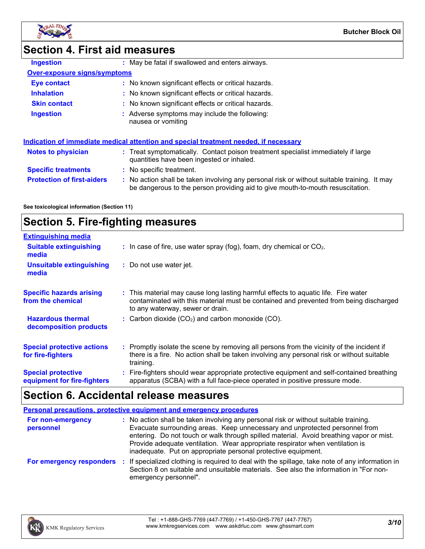

# **Section 4. First aid measures**

| <b>Ingestion</b>             | : May be fatal if swallowed and enters airways.                                             |
|------------------------------|---------------------------------------------------------------------------------------------|
| Over-exposure signs/symptoms |                                                                                             |
| Eye contact                  | : No known significant effects or critical hazards.                                         |
| <b>Inhalation</b>            | : No known significant effects or critical hazards.                                         |
| <b>Skin contact</b>          | : No known significant effects or critical hazards.                                         |
| <b>Ingestion</b>             | : Adverse symptoms may include the following:<br>nausea or vomiting                         |
|                              | <u>Indication of immediate medical attention and special treatment needed, if necessary</u> |
| Alatan ta mbunision          | . Treat aumetematically. Centest poison treatment apocialist immediately if lerge           |

| <b>Notes to physician</b>         | : Treat symptomatically. Contact poison treatment specialist immediately if large<br>quantities have been ingested or inhaled.                                                |
|-----------------------------------|-------------------------------------------------------------------------------------------------------------------------------------------------------------------------------|
| <b>Specific treatments</b>        | : No specific treatment.                                                                                                                                                      |
| <b>Protection of first-aiders</b> | : No action shall be taken involving any personal risk or without suitable training. It may<br>be dangerous to the person providing aid to give mouth-to-mouth resuscitation. |

**See toxicological information (Section 11)**

# **Section 5. Fire-fighting measures**

| <b>Extinguishing media</b>                               |                                                                                                                                                                                                                 |
|----------------------------------------------------------|-----------------------------------------------------------------------------------------------------------------------------------------------------------------------------------------------------------------|
| <b>Suitable extinguishing</b><br>media                   | : In case of fire, use water spray (fog), foam, dry chemical or $CO2$ .                                                                                                                                         |
| <b>Unsuitable extinguishing</b><br>media                 | : Do not use water jet.                                                                                                                                                                                         |
| <b>Specific hazards arising</b><br>from the chemical     | : This material may cause long lasting harmful effects to aquatic life. Fire water<br>contaminated with this material must be contained and prevented from being discharged<br>to any waterway, sewer or drain. |
| <b>Hazardous thermal</b><br>decomposition products       | : Carbon dioxide $(CO2)$ and carbon monoxide $(CO)$ .                                                                                                                                                           |
| <b>Special protective actions</b><br>for fire-fighters   | : Promptly isolate the scene by removing all persons from the vicinity of the incident if<br>there is a fire. No action shall be taken involving any personal risk or without suitable<br>training.             |
| <b>Special protective</b><br>equipment for fire-fighters | : Fire-fighters should wear appropriate protective equipment and self-contained breathing<br>apparatus (SCBA) with a full face-piece operated in positive pressure mode.                                        |

# **Section 6. Accidental release measures**

|                                | <b>Personal precautions, protective equipment and emergency procedures</b>                                                                                                                                                                                                                                                                                                                                       |
|--------------------------------|------------------------------------------------------------------------------------------------------------------------------------------------------------------------------------------------------------------------------------------------------------------------------------------------------------------------------------------------------------------------------------------------------------------|
| For non-emergency<br>personnel | : No action shall be taken involving any personal risk or without suitable training.<br>Evacuate surrounding areas. Keep unnecessary and unprotected personnel from<br>entering. Do not touch or walk through spilled material. Avoid breathing vapor or mist.<br>Provide adequate ventilation. Wear appropriate respirator when ventilation is<br>inadequate. Put on appropriate personal protective equipment. |
| For emergency responders       | : If specialized clothing is required to deal with the spillage, take note of any information in<br>Section 8 on suitable and unsuitable materials. See also the information in "For non-<br>emergency personnel".                                                                                                                                                                                               |

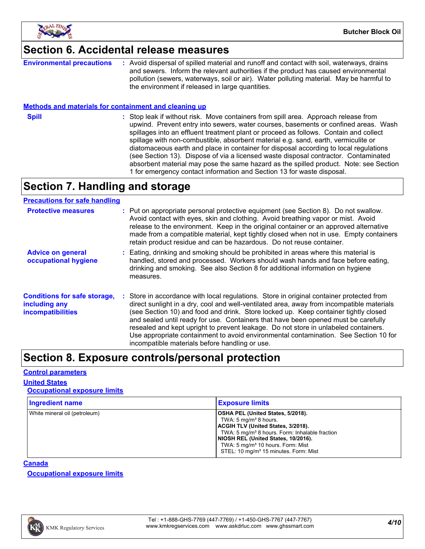

### **Section 6. Accidental release measures**

**Environmental precautions :** Avoid dispersal of spilled material and runoff and contact with soil, waterways, drains and sewers. Inform the relevant authorities if the product has caused environmental pollution (sewers, waterways, soil or air). Water polluting material. May be harmful to the environment if released in large quantities.

#### **Methods and materials for containment and cleaning up**

Stop leak if without risk. Move containers from spill area. Approach release from **Spill :** upwind. Prevent entry into sewers, water courses, basements or confined areas. Wash spillages into an effluent treatment plant or proceed as follows. Contain and collect spillage with non-combustible, absorbent material e.g. sand, earth, vermiculite or diatomaceous earth and place in container for disposal according to local regulations (see Section 13). Dispose of via a licensed waste disposal contractor. Contaminated absorbent material may pose the same hazard as the spilled product. Note: see Section 1 for emergency contact information and Section 13 for waste disposal.

# **Section 7. Handling and storage**

#### **Precautions for safe handling**

| <b>Protective measures</b>                                                       | : Put on appropriate personal protective equipment (see Section 8). Do not swallow.<br>Avoid contact with eyes, skin and clothing. Avoid breathing vapor or mist. Avoid<br>release to the environment. Keep in the original container or an approved alternative<br>made from a compatible material, kept tightly closed when not in use. Empty containers<br>retain product residue and can be hazardous. Do not reuse container.                                                                                                                                                                  |
|----------------------------------------------------------------------------------|-----------------------------------------------------------------------------------------------------------------------------------------------------------------------------------------------------------------------------------------------------------------------------------------------------------------------------------------------------------------------------------------------------------------------------------------------------------------------------------------------------------------------------------------------------------------------------------------------------|
| <b>Advice on general</b><br>occupational hygiene                                 | : Eating, drinking and smoking should be prohibited in areas where this material is<br>handled, stored and processed. Workers should wash hands and face before eating,<br>drinking and smoking. See also Section 8 for additional information on hygiene<br>measures.                                                                                                                                                                                                                                                                                                                              |
| <b>Conditions for safe storage,</b><br>including any<br><b>incompatibilities</b> | : Store in accordance with local regulations. Store in original container protected from<br>direct sunlight in a dry, cool and well-ventilated area, away from incompatible materials<br>(see Section 10) and food and drink. Store locked up. Keep container tightly closed<br>and sealed until ready for use. Containers that have been opened must be carefully<br>resealed and kept upright to prevent leakage. Do not store in unlabeled containers.<br>Use appropriate containment to avoid environmental contamination. See Section 10 for<br>incompatible materials before handling or use. |

### **Section 8. Exposure controls/personal protection**

#### **Control parameters**

#### **United States**

#### **Occupational exposure limits**

| <b>Ingredient name</b>        | <b>Exposure limits</b>                                                                                                                                                                                                                                                                                                 |
|-------------------------------|------------------------------------------------------------------------------------------------------------------------------------------------------------------------------------------------------------------------------------------------------------------------------------------------------------------------|
| White mineral oil (petroleum) | OSHA PEL (United States, 5/2018).<br>TWA: $5 \text{ mg/m}^3$ 8 hours.<br>ACGIH TLV (United States, 3/2018).<br>TWA: 5 mg/m <sup>3</sup> 8 hours. Form: Inhalable fraction<br>NIOSH REL (United States, 10/2016).<br>TWA: 5 mg/m <sup>3</sup> 10 hours. Form: Mist<br>STEL: 10 mg/m <sup>3</sup> 15 minutes. Form: Mist |

#### **Canada**

**Occupational exposure limits**

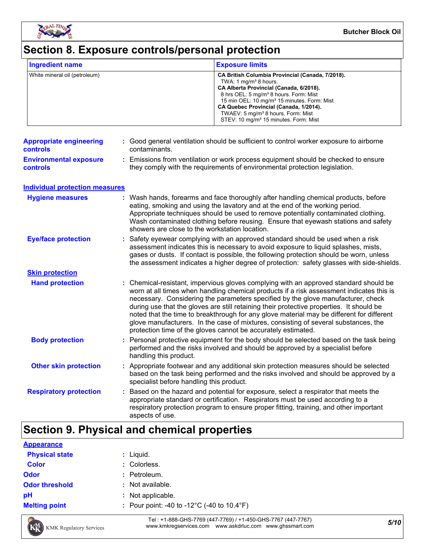

# **Section 8. Exposure controls/personal protection**

| <b>Ingredient name</b>                     | <b>Exposure limits</b>                                                                                                                                                                                                                                                                                                                                                                                                                                                                                                                                                                                               |
|--------------------------------------------|----------------------------------------------------------------------------------------------------------------------------------------------------------------------------------------------------------------------------------------------------------------------------------------------------------------------------------------------------------------------------------------------------------------------------------------------------------------------------------------------------------------------------------------------------------------------------------------------------------------------|
| White mineral oil (petroleum)              | CA British Columbia Provincial (Canada, 7/2018).<br>TWA: 1 $mg/m3$ 8 hours.<br>CA Alberta Provincial (Canada, 6/2018).<br>8 hrs OEL: 5 mg/m <sup>3</sup> 8 hours. Form: Mist<br>15 min OEL: 10 mg/m <sup>3</sup> 15 minutes. Form: Mist<br>CA Quebec Provincial (Canada, 1/2014).<br>TWAEV: 5 mg/m <sup>3</sup> 8 hours. Form: Mist<br>STEV: 10 mg/m <sup>3</sup> 15 minutes. Form: Mist                                                                                                                                                                                                                             |
| <b>Appropriate engineering</b><br>controls | Good general ventilation should be sufficient to control worker exposure to airborne<br>contaminants.                                                                                                                                                                                                                                                                                                                                                                                                                                                                                                                |
| <b>Environmental exposure</b><br>controls  | Emissions from ventilation or work process equipment should be checked to ensure<br>they comply with the requirements of environmental protection legislation.                                                                                                                                                                                                                                                                                                                                                                                                                                                       |
| <b>Individual protection measures</b>      |                                                                                                                                                                                                                                                                                                                                                                                                                                                                                                                                                                                                                      |
| <b>Hygiene measures</b>                    | Wash hands, forearms and face thoroughly after handling chemical products, before<br>eating, smoking and using the lavatory and at the end of the working period.<br>Appropriate techniques should be used to remove potentially contaminated clothing.<br>Wash contaminated clothing before reusing. Ensure that eyewash stations and safety<br>showers are close to the workstation location.                                                                                                                                                                                                                      |
| <b>Eye/face protection</b>                 | Safety eyewear complying with an approved standard should be used when a risk<br>assessment indicates this is necessary to avoid exposure to liquid splashes, mists,<br>gases or dusts. If contact is possible, the following protection should be worn, unless<br>the assessment indicates a higher degree of protection: safety glasses with side-shields.                                                                                                                                                                                                                                                         |
| <b>Skin protection</b>                     |                                                                                                                                                                                                                                                                                                                                                                                                                                                                                                                                                                                                                      |
| <b>Hand protection</b>                     | Chemical-resistant, impervious gloves complying with an approved standard should be<br>worn at all times when handling chemical products if a risk assessment indicates this is<br>necessary. Considering the parameters specified by the glove manufacturer, check<br>during use that the gloves are still retaining their protective properties. It should be<br>noted that the time to breakthrough for any glove material may be different for different<br>glove manufacturers. In the case of mixtures, consisting of several substances, the<br>protection time of the gloves cannot be accurately estimated. |
| <b>Body protection</b>                     | Personal protective equipment for the body should be selected based on the task being<br>t.<br>performed and the risks involved and should be approved by a specialist before<br>handling this product.                                                                                                                                                                                                                                                                                                                                                                                                              |
| <b>Other skin protection</b>               | : Appropriate footwear and any additional skin protection measures should be selected<br>based on the task being performed and the risks involved and should be approved by a<br>specialist before handling this product.                                                                                                                                                                                                                                                                                                                                                                                            |
| <b>Respiratory protection</b>              | Based on the hazard and potential for exposure, select a respirator that meets the<br>appropriate standard or certification. Respirators must be used according to a<br>respiratory protection program to ensure proper fitting, training, and other important<br>aspects of use.                                                                                                                                                                                                                                                                                                                                    |

# **Section 9. Physical and chemical properties**

| <b>Appearance</b>     |                                                                  |
|-----------------------|------------------------------------------------------------------|
| <b>Physical state</b> | $:$ Liquid.                                                      |
| <b>Color</b>          | : Colorless.                                                     |
| Odor                  | : Petroleum.                                                     |
| <b>Odor threshold</b> | : Not available.                                                 |
| рH                    | : Not applicable.                                                |
| <b>Melting point</b>  | : Pour point: -40 to -12 $^{\circ}$ C (-40 to 10.4 $^{\circ}$ F) |



*5/10* Tel : +1-888-GHS-7769 (447-7769) / +1-450-GHS-7767 (447-7767) www.kmkregservices.com www.askdrluc.com www.ghssmart.com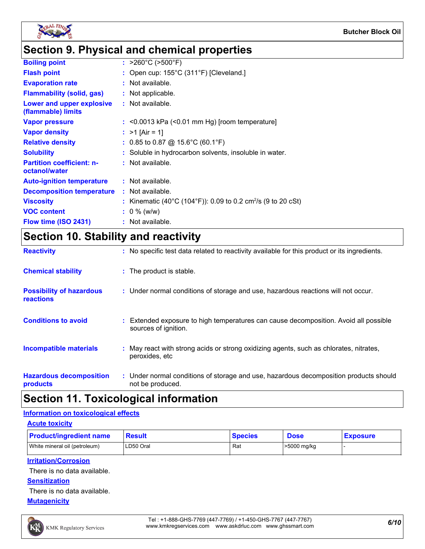

# **Section 9. Physical and chemical properties**

| <b>Boiling point</b>                              | : $>260^{\circ}$ C ( $>500^{\circ}$ F)                                   |
|---------------------------------------------------|--------------------------------------------------------------------------|
| <b>Flash point</b>                                | : Open cup: 155°C (311°F) [Cleveland.]                                   |
| <b>Evaporation rate</b>                           | : Not available.                                                         |
| <b>Flammability (solid, gas)</b>                  | : Not applicable.                                                        |
| Lower and upper explosive<br>(flammable) limits   | $:$ Not available.                                                       |
| <b>Vapor pressure</b>                             | $:$ <0.0013 kPa (<0.01 mm Hg) [room temperature]                         |
| <b>Vapor density</b>                              | : $>1$ [Air = 1]                                                         |
| <b>Relative density</b>                           | : 0.85 to 0.87 @ 15.6°C (60.1°F)                                         |
| <b>Solubility</b>                                 | : Soluble in hydrocarbon solvents, insoluble in water.                   |
| <b>Partition coefficient: n-</b><br>octanol/water | $:$ Not available.                                                       |
| <b>Auto-ignition temperature</b>                  | $:$ Not available.                                                       |
| <b>Decomposition temperature</b>                  | $:$ Not available.                                                       |
| <b>Viscosity</b>                                  | : Kinematic (40°C (104°F)): 0.09 to 0.2 cm <sup>2</sup> /s (9 to 20 cSt) |
| <b>VOC content</b>                                | $: 0 \%$ (w/w)                                                           |
| Flow time (ISO 2431)                              | : Not available.                                                         |

# **Section 10. Stability and reactivity**

| <b>Reactivity</b>                            | : No specific test data related to reactivity available for this product or its ingredients.                 |
|----------------------------------------------|--------------------------------------------------------------------------------------------------------------|
| <b>Chemical stability</b>                    | : The product is stable.                                                                                     |
| <b>Possibility of hazardous</b><br>reactions | : Under normal conditions of storage and use, hazardous reactions will not occur.                            |
| <b>Conditions to avoid</b>                   | : Extended exposure to high temperatures can cause decomposition. Avoid all possible<br>sources of ignition. |
| <b>Incompatible materials</b>                | : May react with strong acids or strong oxidizing agents, such as chlorates, nitrates,<br>peroxides, etc     |
| <b>Hazardous decomposition</b><br>products   | : Under normal conditions of storage and use, hazardous decomposition products should<br>not be produced.    |

# **Section 11. Toxicological information**

#### **Information on toxicological effects**

| <b>Acute toxicity</b>          |               |                |             |                 |
|--------------------------------|---------------|----------------|-------------|-----------------|
| <b>Product/ingredient name</b> | <b>Result</b> | <b>Species</b> | <b>Dose</b> | <b>Exposure</b> |
| White mineral oil (petroleum)  | LD50 Oral     | Rat            | >5000 mg/kg |                 |

#### **Irritation/Corrosion**

There is no data available.

#### **Sensitization**

There is no data available.

#### **Mutagenicity**

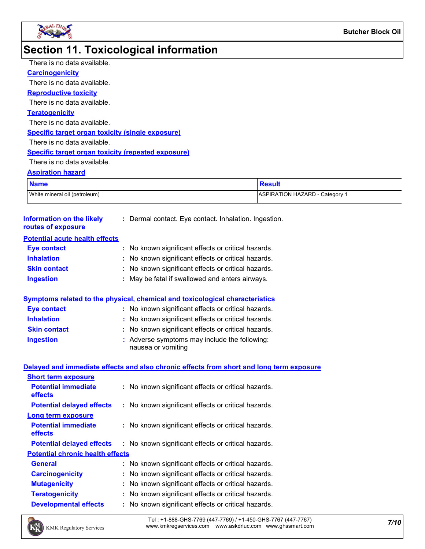

# **Section 11. Toxicological information**

| There is no data available.                             |                                                                                     |                                       |  |
|---------------------------------------------------------|-------------------------------------------------------------------------------------|---------------------------------------|--|
| <b>Carcinogenicity</b>                                  |                                                                                     |                                       |  |
| There is no data available.                             |                                                                                     |                                       |  |
| <b>Reproductive toxicity</b>                            |                                                                                     |                                       |  |
| There is no data available.                             |                                                                                     |                                       |  |
| <b>Teratogenicity</b>                                   |                                                                                     |                                       |  |
| There is no data available.                             |                                                                                     |                                       |  |
| <b>Specific target organ toxicity (single exposure)</b> |                                                                                     |                                       |  |
| There is no data available.                             |                                                                                     |                                       |  |
|                                                         | <b>Specific target organ toxicity (repeated exposure)</b>                           |                                       |  |
| There is no data available.                             |                                                                                     |                                       |  |
| <b>Aspiration hazard</b>                                |                                                                                     |                                       |  |
| <b>Name</b>                                             |                                                                                     | <b>Result</b>                         |  |
| White mineral oil (petroleum)                           |                                                                                     | <b>ASPIRATION HAZARD - Category 1</b> |  |
|                                                         |                                                                                     |                                       |  |
| <b>Information on the likely</b>                        | : Dermal contact. Eye contact. Inhalation. Ingestion.                               |                                       |  |
| routes of exposure                                      |                                                                                     |                                       |  |
| <b>Potential acute health effects</b>                   |                                                                                     |                                       |  |
| <b>Eye contact</b>                                      | : No known significant effects or critical hazards.                                 |                                       |  |
| <b>Inhalation</b>                                       | No known significant effects or critical hazards.                                   |                                       |  |
| <b>Skin contact</b>                                     | No known significant effects or critical hazards.                                   |                                       |  |
| <b>Ingestion</b>                                        | May be fatal if swallowed and enters airways.                                       |                                       |  |
|                                                         |                                                                                     |                                       |  |
|                                                         | <b>Symptoms related to the physical, chemical and toxicological characteristics</b> |                                       |  |
| <b>Eye contact</b>                                      | : No known significant effects or critical hazards.                                 |                                       |  |
| <b>Inhalation</b>                                       | No known significant effects or critical hazards.                                   |                                       |  |
| <b>Skin contact</b>                                     | No known significant effects or critical hazards.                                   |                                       |  |
| <b>Ingestion</b>                                        | : Adverse symptoms may include the following:                                       |                                       |  |

nausea or vomiting

|                                              | Delayed and immediate effects and also chronic effects from short and long term exposure |
|----------------------------------------------|------------------------------------------------------------------------------------------|
| <b>Short term exposure</b>                   |                                                                                          |
| <b>Potential immediate</b><br><b>effects</b> | : No known significant effects or critical hazards.                                      |
| <b>Potential delayed effects</b>             | : No known significant effects or critical hazards.                                      |
| Long term exposure                           |                                                                                          |
| <b>Potential immediate</b><br><b>effects</b> | : No known significant effects or critical hazards.                                      |
| <b>Potential delayed effects</b>             | : No known significant effects or critical hazards.                                      |
| <b>Potential chronic health effects</b>      |                                                                                          |
| General                                      | : No known significant effects or critical hazards.                                      |
| <b>Carcinogenicity</b>                       | : No known significant effects or critical hazards.                                      |
| <b>Mutagenicity</b>                          | : No known significant effects or critical hazards.                                      |
| <b>Teratogenicity</b>                        | : No known significant effects or critical hazards.                                      |
| <b>Developmental effects</b>                 | : No known significant effects or critical hazards.                                      |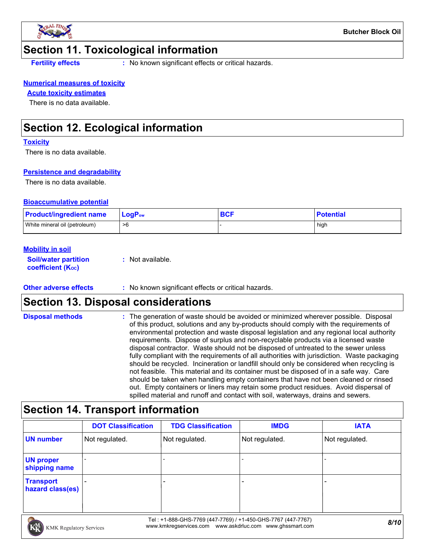

# **Section 11. Toxicological information**

**Fertility effects** : No known significant effects or critical hazards.

#### **Numerical measures of toxicity**

#### **Acute toxicity estimates**

There is no data available.

# **Section 12. Ecological information**

#### **Toxicity**

There is no data available.

#### **Persistence and degradability**

There is no data available.

#### **Bioaccumulative potential**

| <b>Product/ingredient name</b> | $\mathsf{LogP}_\mathsf{ow}$ | <b>BCF</b> | <b>Potential</b> |
|--------------------------------|-----------------------------|------------|------------------|
| White mineral oil (petroleum)  | >6                          |            | high             |

#### **Mobility in soil**

**Soil/water partition coefficient (KOC)**

**:** Not available.

#### **Other adverse effects** : No known significant effects or critical hazards.

### **Section 13. Disposal considerations**

| <b>Disposal methods</b> | : The generation of waste should be avoided or minimized wherever possible. Disposal<br>of this product, solutions and any by-products should comply with the requirements of<br>environmental protection and waste disposal legislation and any regional local authority<br>requirements. Dispose of surplus and non-recyclable products via a licensed waste<br>disposal contractor. Waste should not be disposed of untreated to the sewer unless<br>fully compliant with the requirements of all authorities with jurisdiction. Waste packaging<br>should be recycled. Incineration or landfill should only be considered when recycling is<br>not feasible. This material and its container must be disposed of in a safe way. Care<br>should be taken when handling empty containers that have not been cleaned or rinsed<br>out. Empty containers or liners may retain some product residues. Avoid dispersal of |
|-------------------------|-------------------------------------------------------------------------------------------------------------------------------------------------------------------------------------------------------------------------------------------------------------------------------------------------------------------------------------------------------------------------------------------------------------------------------------------------------------------------------------------------------------------------------------------------------------------------------------------------------------------------------------------------------------------------------------------------------------------------------------------------------------------------------------------------------------------------------------------------------------------------------------------------------------------------|
|                         | spilled material and runoff and contact with soil, waterways, drains and sewers.                                                                                                                                                                                                                                                                                                                                                                                                                                                                                                                                                                                                                                                                                                                                                                                                                                        |

# **Section 14. Transport information**

|                                      | <b>DOT Classification</b> | <b>TDG Classification</b> | <b>IMDG</b>    | <b>IATA</b>    |
|--------------------------------------|---------------------------|---------------------------|----------------|----------------|
| <b>UN number</b>                     | Not regulated.            | Not regulated.            | Not regulated. | Not regulated. |
| <b>UN proper</b><br>shipping name    |                           |                           |                |                |
| <b>Transport</b><br>hazard class(es) |                           |                           |                |                |

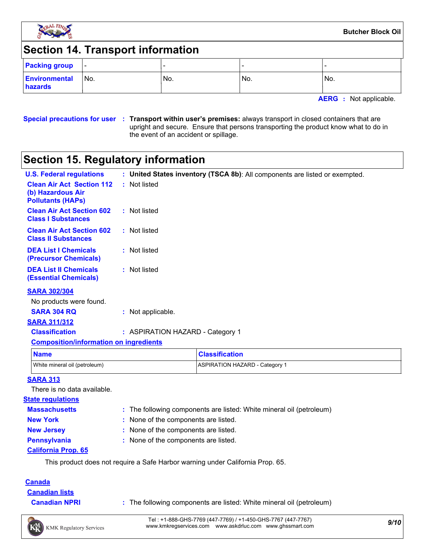

## **Section 14. Transport information**

| <b>Packing group</b>            | $\sim$           |      |     |      |
|---------------------------------|------------------|------|-----|------|
| <b>Environmental</b><br>hazards | <sup>1</sup> No. | 'No. | No. | ⊥No. |

**AERG :** Not applicable.

**Special precautions for user Transport within user's premises:** always transport in closed containers that are **:** upright and secure. Ensure that persons transporting the product know what to do in the event of an accident or spillage.

# **Section 15. Regulatory information**

| <b>U.S. Federal regulations</b>                                                   | : United States inventory (TSCA 8b): All components are listed or exempted. |
|-----------------------------------------------------------------------------------|-----------------------------------------------------------------------------|
| <b>Clean Air Act Section 112</b><br>(b) Hazardous Air<br><b>Pollutants (HAPS)</b> | : Not listed                                                                |
| <b>Clean Air Act Section 602</b><br><b>Class I Substances</b>                     | : Not listed                                                                |
| <b>Clean Air Act Section 602</b><br><b>Class II Substances</b>                    | : Not listed                                                                |
| <b>DEA List I Chemicals</b><br>(Precursor Chemicals)                              | : Not listed                                                                |
| <b>DEA List II Chemicals</b><br><b>(Essential Chemicals)</b>                      | : Not listed                                                                |
| <b>SARA 302/304</b><br>No products were found.                                    |                                                                             |
| <b>SARA 304 RQ</b>                                                                | : Not applicable.                                                           |
| <b>SARA 311/312</b>                                                               |                                                                             |
| <b>Classification</b>                                                             | : ASPIRATION HAZARD - Category 1                                            |
| <b>Composition/information on ingredients</b>                                     |                                                                             |
| <b>Name</b>                                                                       | <b>Classification</b>                                                       |
| White mineral oil (petroleum)                                                     | <b>ASPIRATION HAZARD - Category 1</b>                                       |
| <b>SARA 313</b>                                                                   |                                                                             |

There is no data available.

| <b>State regulations</b>   |                                                                      |
|----------------------------|----------------------------------------------------------------------|
| <b>Massachusetts</b>       | : The following components are listed: White mineral oil (petroleum) |
| <b>New York</b>            | : None of the components are listed.                                 |
| <b>New Jersey</b>          | : None of the components are listed.                                 |
| <b>Pennsylvania</b>        | : None of the components are listed.                                 |
| <b>California Prop. 65</b> |                                                                      |

This product does not require a Safe Harbor warning under California Prop. 65.

### **Canada**

**Canadian lists**

**Canadian NPRI :** The following components are listed: White mineral oil (petroleum)

*9/10* Tel : +1-888-GHS-7769 (447-7769) / +1-450-GHS-7767 (447-7767) www.kmkregservices.com www.askdrluc.com www.ghssmart.com